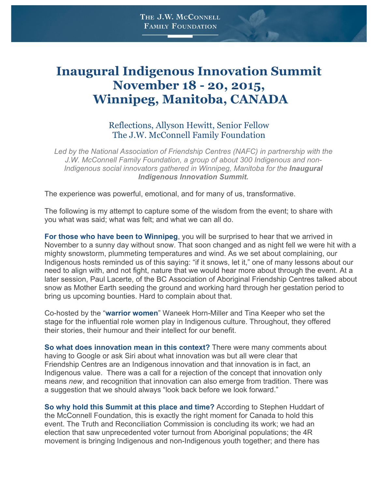## **Inaugural Indigenous Innovation Summit November 18 - 20, 2015, Winnipeg, Manitoba, CANADA**

## Reflections, Allyson Hewitt, Senior Fellow The J.W. McConnell Family Foundation

*Led by the National Association of Friendship Centres (NAFC) in partnership with the J.W. McConnell Family Foundation, a group of about 300 Indigenous and non-Indigenous social innovators gathered in Winnipeg, Manitoba for the Inaugural Indigenous Innovation Summit.*

The experience was powerful, emotional, and for many of us, transformative.

The following is my attempt to capture some of the wisdom from the event; to share with you what was said; what was felt; and what we can all do.

**For those who have been to Winnipeg**, you will be surprised to hear that we arrived in November to a sunny day without snow. That soon changed and as night fell we were hit with a mighty snowstorm, plummeting temperatures and wind. As we set about complaining, our Indigenous hosts reminded us of this saying: "if it snows, let it," one of many lessons about our need to align with, and not fight, nature that we would hear more about through the event. At a later session, Paul Lacerte, of the BC Association of Aboriginal Friendship Centres talked about snow as Mother Earth seeding the ground and working hard through her gestation period to bring us upcoming bounties. Hard to complain about that.

Co-hosted by the "**warrior women**" Waneek Horn-Miller and Tina Keeper who set the stage for the influential role women play in Indigenous culture. Throughout, they offered their stories, their humour and their intellect for our benefit.

**So what does innovation mean in this context?** There were many comments about having to Google or ask Siri about what innovation was but all were clear that Friendship Centres are an Indigenous innovation and that innovation is in fact, an Indigenous value. There was a call for a rejection of the concept that innovation only means *new*, and recognition that innovation can also emerge from tradition. There was a suggestion that we should always "look back before we look forward."

**So why hold this Summit at this place and time?** According to Stephen Huddart of the McConnell Foundation, this is exactly the right moment for Canada to hold this event. The Truth and Reconciliation Commission is concluding its work; we had an election that saw unprecedented voter turnout from Aboriginal populations; the 4R movement is bringing Indigenous and non-Indigenous youth together; and there has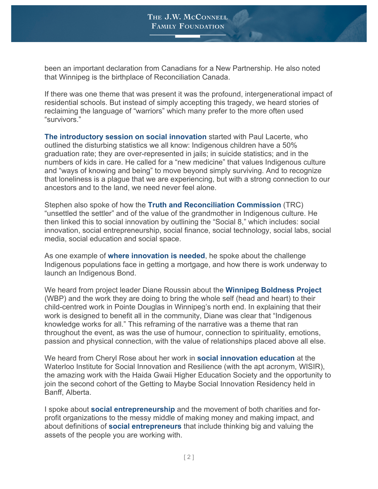been an important declaration from Canadians for a New Partnership. He also noted that Winnipeg is the birthplace of Reconciliation Canada.

If there was one theme that was present it was the profound, intergenerational impact of residential schools. But instead of simply accepting this tragedy, we heard stories of reclaiming the language of "warriors" which many prefer to the more often used "survivors."

**The introductory session on social innovation** started with Paul Lacerte, who outlined the disturbing statistics we all know: Indigenous children have a 50% graduation rate; they are over-represented in jails; in suicide statistics; and in the numbers of kids in care. He called for a "new medicine" that values Indigenous culture and "ways of knowing and being" to move beyond simply surviving. And to recognize that loneliness is a plague that we are experiencing, but with a strong connection to our ancestors and to the land, we need never feel alone.

Stephen also spoke of how the **Truth and Reconciliation Commission** (TRC) "unsettled the settler" and of the value of the grandmother in Indigenous culture. He then linked this to social innovation by outlining the "Social 8," which includes: social innovation, social entrepreneurship, social finance, social technology, social labs, social media, social education and social space.

As one example of **where innovation is needed**, he spoke about the challenge Indigenous populations face in getting a mortgage, and how there is work underway to launch an Indigenous Bond.

We heard from project leader Diane Roussin about the **Winnipeg Boldness Project** (WBP) and the work they are doing to bring the whole self (head and heart) to their child-centred work in Pointe Douglas in Winnipeg's north end. In explaining that their work is designed to benefit all in the community, Diane was clear that "Indigenous knowledge works for all." This reframing of the narrative was a theme that ran throughout the event, as was the use of humour, connection to spirituality, emotions, passion and physical connection, with the value of relationships placed above all else.

We heard from Cheryl Rose about her work in **social innovation education** at the Waterloo Institute for Social Innovation and Resilience (with the apt acronym, WISIR), the amazing work with the Haida Gwaii Higher Education Society and the opportunity to join the second cohort of the Getting to Maybe Social Innovation Residency held in Banff, Alberta.

I spoke about **social entrepreneurship** and the movement of both charities and forprofit organizations to the messy middle of making money and making impact, and about definitions of **social entrepreneurs** that include thinking big and valuing the assets of the people you are working with.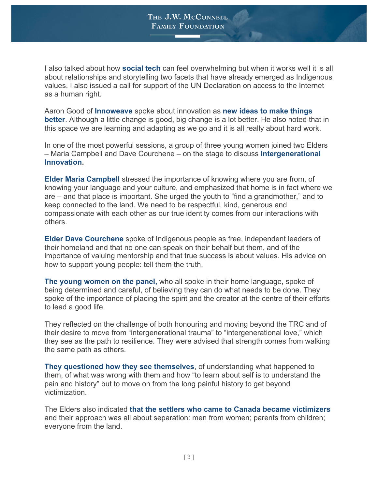I also talked about how **social tech** can feel overwhelming but when it works well it is all about relationships and storytelling two facets that have already emerged as Indigenous values. I also issued a call for support of the UN Declaration on access to the Internet as a human right.

Aaron Good of **Innoweave** spoke about innovation as **new ideas to make things better**. Although a little change is good, big change is a lot better. He also noted that in this space we are learning and adapting as we go and it is all really about hard work.

In one of the most powerful sessions, a group of three young women joined two Elders – Maria Campbell and Dave Courchene – on the stage to discuss **Intergenerational Innovation.**

**Elder Maria Campbell** stressed the importance of knowing where you are from, of knowing your language and your culture, and emphasized that home is in fact where we are – and that place is important. She urged the youth to "find a grandmother," and to keep connected to the land. We need to be respectful, kind, generous and compassionate with each other as our true identity comes from our interactions with others.

**Elder Dave Courchene** spoke of Indigenous people as free, independent leaders of their homeland and that no one can speak on their behalf but them, and of the importance of valuing mentorship and that true success is about values. His advice on how to support young people: tell them the truth.

**The young women on the panel,** who all spoke in their home language, spoke of being determined and careful, of believing they can do what needs to be done. They spoke of the importance of placing the spirit and the creator at the centre of their efforts to lead a good life.

They reflected on the challenge of both honouring and moving beyond the TRC and of their desire to move from "intergenerational trauma" to "intergenerational love," which they see as the path to resilience. They were advised that strength comes from walking the same path as others.

**They questioned how they see themselves**, of understanding what happened to them, of what was wrong with them and how "to learn about self is to understand the pain and history" but to move on from the long painful history to get beyond victimization.

The Elders also indicated **that the settlers who came to Canada became victimizers** and their approach was all about separation: men from women; parents from children; everyone from the land.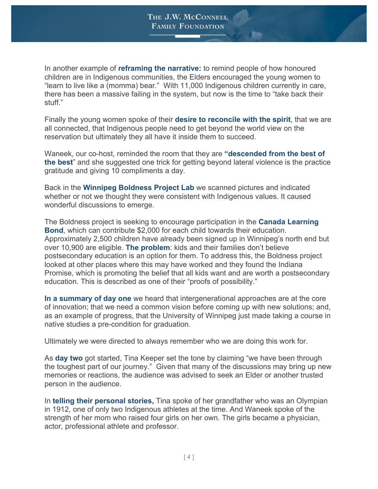In another example of **reframing the narrative:** to remind people of how honoured children are in Indigenous communities, the Elders encouraged the young women to "learn to live like a (momma) bear." With 11,000 Indigenous children currently in care, there has been a massive failing in the system, but now is the time to "take back their stuff."

Finally the young women spoke of their **desire to reconcile with the spirit**, that we are all connected, that Indigenous people need to get beyond the world view on the reservation but ultimately they all have it inside them to succeed.

Waneek, our co-host, reminded the room that they are **"descended from the best of the best**" and she suggested one trick for getting beyond lateral violence is the practice gratitude and giving 10 compliments a day.

Back in the **Winnipeg Boldness Project Lab** we scanned pictures and indicated whether or not we thought they were consistent with Indigenous values. It caused wonderful discussions to emerge.

The Boldness project is seeking to encourage participation in the **Canada Learning Bond**, which can contribute \$2,000 for each child towards their education. Approximately 2,500 children have already been signed up in Winnipeg's north end but over 10,900 are eligible. **The problem**: kids and their families don't believe postsecondary education is an option for them. To address this, the Boldness project looked at other places where this may have worked and they found the Indiana Promise, which is promoting the belief that all kids want and are worth a postsecondary education. This is described as one of their "proofs of possibility."

**In a summary of day one** we heard that intergenerational approaches are at the core of innovation; that we need a common vision before coming up with new solutions; and, as an example of progress, that the University of Winnipeg just made taking a course in native studies a pre-condition for graduation.

Ultimately we were directed to always remember who we are doing this work for.

As **day two** got started, Tina Keeper set the tone by claiming "we have been through the toughest part of our journey." Given that many of the discussions may bring up new memories or reactions, the audience was advised to seek an Elder or another trusted person in the audience.

In **telling their personal stories,** Tina spoke of her grandfather who was an Olympian in 1912, one of only two Indigenous athletes at the time. And Waneek spoke of the strength of her mom who raised four girls on her own. The girls became a physician, actor, professional athlete and professor.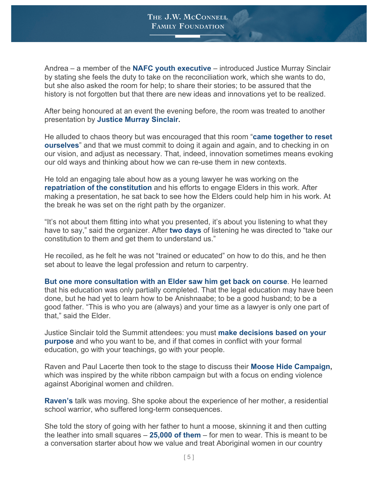Andrea – a member of the **NAFC youth executive** – introduced Justice Murray Sinclair by stating she feels the duty to take on the reconciliation work, which she wants to do, but she also asked the room for help; to share their stories; to be assured that the history is not forgotten but that there are new ideas and innovations yet to be realized.

After being honoured at an event the evening before, the room was treated to another presentation by **Justice Murray Sinclair.**

He alluded to chaos theory but was encouraged that this room "**came together to reset ourselves**" and that we must commit to doing it again and again, and to checking in on our vision, and adjust as necessary. That, indeed, innovation sometimes means evoking our old ways and thinking about how we can re-use them in new contexts.

He told an engaging tale about how as a young lawyer he was working on the **repatriation of the constitution** and his efforts to engage Elders in this work. After making a presentation, he sat back to see how the Elders could help him in his work. At the break he was set on the right path by the organizer.

"It's not about them fitting into what you presented, it's about you listening to what they have to say," said the organizer. After **two days** of listening he was directed to "take our constitution to them and get them to understand us."

He recoiled, as he felt he was not "trained or educated" on how to do this, and he then set about to leave the legal profession and return to carpentry.

**But one more consultation with an Elder saw him get back on course**. He learned that his education was only partially completed. That the legal education may have been done, but he had yet to learn how to be Anishnaabe; to be a good husband; to be a good father. "This is who you are (always) and your time as a lawyer is only one part of that," said the Elder.

Justice Sinclair told the Summit attendees: you must **make decisions based on your purpose** and who you want to be, and if that comes in conflict with your formal education, go with your teachings, go with your people.

Raven and Paul Lacerte then took to the stage to discuss their **Moose Hide Campaign,**  which was inspired by the white ribbon campaign but with a focus on ending violence against Aboriginal women and children.

**Raven's** talk was moving. She spoke about the experience of her mother, a residential school warrior, who suffered long-term consequences.

She told the story of going with her father to hunt a moose, skinning it and then cutting the leather into small squares – **25,000 of them** – for men to wear. This is meant to be a conversation starter about how we value and treat Aboriginal women in our country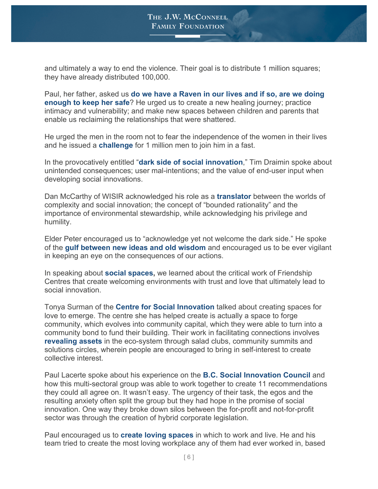and ultimately a way to end the violence. Their goal is to distribute 1 million squares; they have already distributed 100,000.

Paul, her father, asked us **do we have a Raven in our lives and if so, are we doing enough to keep her safe**? He urged us to create a new healing journey; practice intimacy and vulnerability; and make new spaces between children and parents that enable us reclaiming the relationships that were shattered.

He urged the men in the room not to fear the independence of the women in their lives and he issued a **challenge** for 1 million men to join him in a fast.

In the provocatively entitled "**dark side of social innovation**," Tim Draimin spoke about unintended consequences; user mal-intentions; and the value of end-user input when developing social innovations.

Dan McCarthy of WISIR acknowledged his role as a **translator** between the worlds of complexity and social innovation; the concept of "bounded rationality" and the importance of environmental stewardship, while acknowledging his privilege and humility.

Elder Peter encouraged us to "acknowledge yet not welcome the dark side." He spoke of the **gulf between new ideas and old wisdom** and encouraged us to be ever vigilant in keeping an eye on the consequences of our actions.

In speaking about **social spaces,** we learned about the critical work of Friendship Centres that create welcoming environments with trust and love that ultimately lead to social innovation.

Tonya Surman of the **Centre for Social Innovation** talked about creating spaces for love to emerge. The centre she has helped create is actually a space to forge community, which evolves into community capital, which they were able to turn into a community bond to fund their building. Their work in facilitating connections involves **revealing assets** in the eco-system through salad clubs, community summits and solutions circles, wherein people are encouraged to bring in self-interest to create collective interest.

Paul Lacerte spoke about his experience on the **B.C. Social Innovation Council** and how this multi-sectoral group was able to work together to create 11 recommendations they could all agree on. It wasn't easy. The urgency of their task, the egos and the resulting anxiety often split the group but they had hope in the promise of social innovation. One way they broke down silos between the for-profit and not-for-profit sector was through the creation of hybrid corporate legislation.

Paul encouraged us to **create loving spaces** in which to work and live. He and his team tried to create the most loving workplace any of them had ever worked in, based